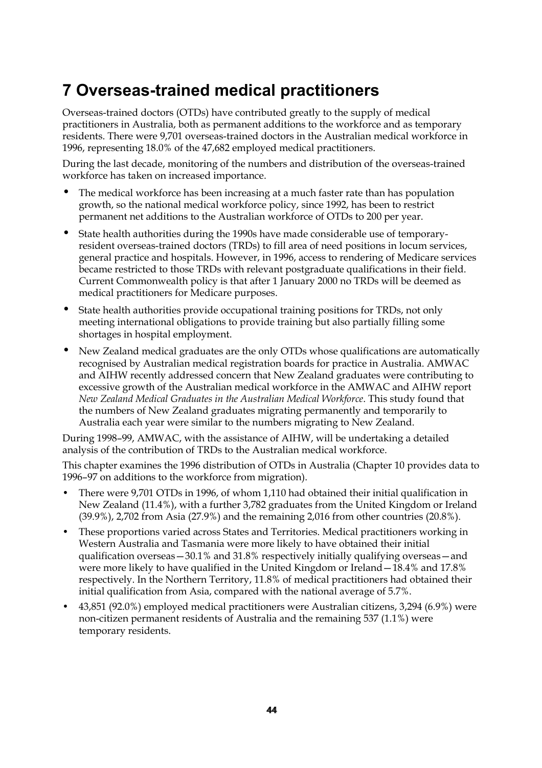## **7 Overseas-trained medical practitioners**

Overseas-trained doctors (OTDs) have contributed greatly to the supply of medical practitioners in Australia, both as permanent additions to the workforce and as temporary residents. There were 9,701 overseas-trained doctors in the Australian medical workforce in 1996, representing 18.0% of the 47,682 employed medical practitioners.

During the last decade, monitoring of the numbers and distribution of the overseas-trained workforce has taken on increased importance.

- The medical workforce has been increasing at a much faster rate than has population growth, so the national medical workforce policy, since 1992, has been to restrict permanent net additions to the Australian workforce of OTDs to 200 per year.
- State health authorities during the 1990s have made considerable use of temporaryresident overseas-trained doctors (TRDs) to fill area of need positions in locum services, general practice and hospitals. However, in 1996, access to rendering of Medicare services became restricted to those TRDs with relevant postgraduate qualifications in their field. Current Commonwealth policy is that after 1 January 2000 no TRDs will be deemed as medical practitioners for Medicare purposes.
- State health authorities provide occupational training positions for TRDs, not only meeting international obligations to provide training but also partially filling some shortages in hospital employment.
- New Zealand medical graduates are the only OTDs whose qualifications are automatically recognised by Australian medical registration boards for practice in Australia. AMWAC and AIHW recently addressed concern that New Zealand graduates were contributing to excessive growth of the Australian medical workforce in the AMWAC and AIHW report *New Zealand Medical Graduates in the Australian Medical Workforce*. This study found that the numbers of New Zealand graduates migrating permanently and temporarily to Australia each year were similar to the numbers migrating to New Zealand.

During 1998–99, AMWAC, with the assistance of AIHW, will be undertaking a detailed analysis of the contribution of TRDs to the Australian medical workforce.

This chapter examines the 1996 distribution of OTDs in Australia (Chapter 10 provides data to 1996–97 on additions to the workforce from migration).

- There were 9,701 OTDs in 1996, of whom 1,110 had obtained their initial qualification in New Zealand (11.4%), with a further 3,782 graduates from the United Kingdom or Ireland (39.9%), 2,702 from Asia (27.9%) and the remaining 2,016 from other countries (20.8%).
- These proportions varied across States and Territories. Medical practitioners working in Western Australia and Tasmania were more likely to have obtained their initial qualification overseas—30.1% and 31.8% respectively initially qualifying overseas—and were more likely to have qualified in the United Kingdom or Ireland—18.4% and 17.8% respectively. In the Northern Territory, 11.8% of medical practitioners had obtained their initial qualification from Asia, compared with the national average of 5.7%.
- 43,851 (92.0%) employed medical practitioners were Australian citizens, 3,294 (6.9%) were non-citizen permanent residents of Australia and the remaining 537 (1.1%) were temporary residents.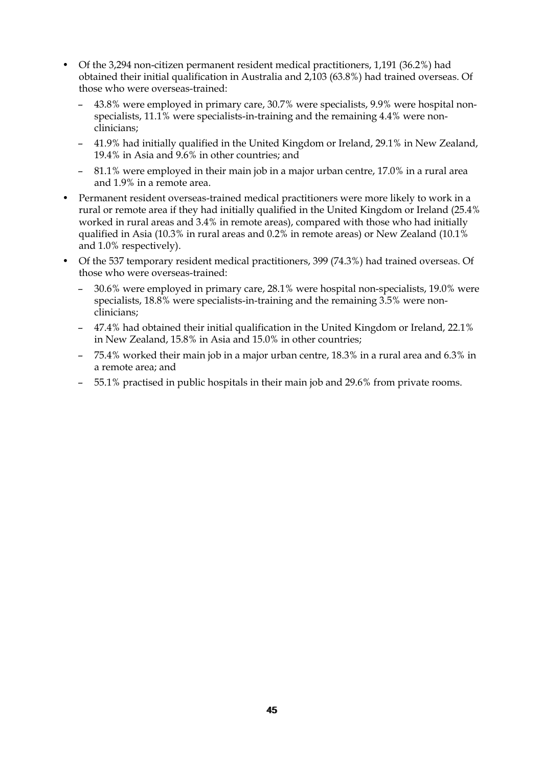- Of the 3,294 non-citizen permanent resident medical practitioners, 1,191 (36.2%) had obtained their initial qualification in Australia and 2,103 (63.8%) had trained overseas. Of those who were overseas-trained:
	- 43.8% were employed in primary care, 30.7% were specialists, 9.9% were hospital nonspecialists, 11.1% were specialists-in-training and the remaining 4.4% were nonclinicians;
	- 41.9% had initially qualified in the United Kingdom or Ireland, 29.1% in New Zealand, 19.4% in Asia and 9.6% in other countries; and
	- 81.1% were employed in their main job in a major urban centre, 17.0% in a rural area and 1.9% in a remote area.
- Permanent resident overseas-trained medical practitioners were more likely to work in a rural or remote area if they had initially qualified in the United Kingdom or Ireland (25.4% worked in rural areas and 3.4% in remote areas), compared with those who had initially qualified in Asia (10.3% in rural areas and 0.2% in remote areas) or New Zealand (10.1% and 1.0% respectively).
- Of the 537 temporary resident medical practitioners, 399 (74.3%) had trained overseas. Of those who were overseas-trained:
	- 30.6% were employed in primary care, 28.1% were hospital non-specialists, 19.0% were specialists, 18.8% were specialists-in-training and the remaining 3.5% were nonclinicians;
	- 47.4% had obtained their initial qualification in the United Kingdom or Ireland, 22.1% in New Zealand, 15.8% in Asia and 15.0% in other countries;
	- 75.4% worked their main job in a major urban centre, 18.3% in a rural area and 6.3% in a remote area; and
	- 55.1% practised in public hospitals in their main job and 29.6% from private rooms.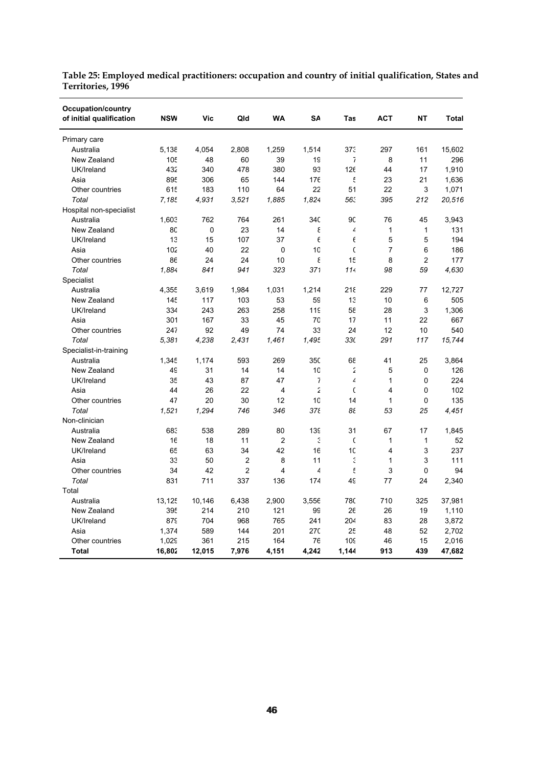| <b>Occupation/country</b><br>of initial qualification                                                                                                                                                                                                                                                                                                                                                  | <b>NSW</b>                                                                                                                                                                                          | Vic                                                                                                                                                                              | Qld                                                                                                                                                                                               | <b>WA</b>                                                                                                                                                           | SΑ                                                                                                                                                                                                   | Tas                                                                                                                                                                   | <b>ACT</b>                                                                                                                                                                                                     | <b>NT</b>                                                                                                                                                         | <b>Total</b>                                                           |
|--------------------------------------------------------------------------------------------------------------------------------------------------------------------------------------------------------------------------------------------------------------------------------------------------------------------------------------------------------------------------------------------------------|-----------------------------------------------------------------------------------------------------------------------------------------------------------------------------------------------------|----------------------------------------------------------------------------------------------------------------------------------------------------------------------------------|---------------------------------------------------------------------------------------------------------------------------------------------------------------------------------------------------|---------------------------------------------------------------------------------------------------------------------------------------------------------------------|------------------------------------------------------------------------------------------------------------------------------------------------------------------------------------------------------|-----------------------------------------------------------------------------------------------------------------------------------------------------------------------|----------------------------------------------------------------------------------------------------------------------------------------------------------------------------------------------------------------|-------------------------------------------------------------------------------------------------------------------------------------------------------------------|------------------------------------------------------------------------|
| Primary care                                                                                                                                                                                                                                                                                                                                                                                           |                                                                                                                                                                                                     |                                                                                                                                                                                  |                                                                                                                                                                                                   |                                                                                                                                                                     |                                                                                                                                                                                                      |                                                                                                                                                                       |                                                                                                                                                                                                                |                                                                                                                                                                   |                                                                        |
| Australia                                                                                                                                                                                                                                                                                                                                                                                              | 5,138                                                                                                                                                                                               | 4,054                                                                                                                                                                            | 2,808                                                                                                                                                                                             | 1,259                                                                                                                                                               | 1,514                                                                                                                                                                                                | 373                                                                                                                                                                   | 297                                                                                                                                                                                                            | 161                                                                                                                                                               | 15,602                                                                 |
| New Zealand                                                                                                                                                                                                                                                                                                                                                                                            | 105                                                                                                                                                                                                 | 48                                                                                                                                                                               | 60                                                                                                                                                                                                | 39                                                                                                                                                                  | 19                                                                                                                                                                                                   | 7                                                                                                                                                                     | 8                                                                                                                                                                                                              | 11                                                                                                                                                                | 296                                                                    |
| UK/Ireland                                                                                                                                                                                                                                                                                                                                                                                             | 432                                                                                                                                                                                                 | 340                                                                                                                                                                              | 478                                                                                                                                                                                               | 380                                                                                                                                                                 | 93                                                                                                                                                                                                   | 126                                                                                                                                                                   | 44                                                                                                                                                                                                             | 17                                                                                                                                                                | 1,910                                                                  |
| Asia                                                                                                                                                                                                                                                                                                                                                                                                   | 895                                                                                                                                                                                                 | 306                                                                                                                                                                              | 65                                                                                                                                                                                                | 144                                                                                                                                                                 | 176                                                                                                                                                                                                  | £                                                                                                                                                                     | 23                                                                                                                                                                                                             | 21                                                                                                                                                                | 1,636                                                                  |
| Other countries                                                                                                                                                                                                                                                                                                                                                                                        | 615                                                                                                                                                                                                 | 183                                                                                                                                                                              | 110                                                                                                                                                                                               | 64                                                                                                                                                                  | 22                                                                                                                                                                                                   | 51                                                                                                                                                                    | 22                                                                                                                                                                                                             | 3                                                                                                                                                                 | 1,071                                                                  |
| Total                                                                                                                                                                                                                                                                                                                                                                                                  | 7,185                                                                                                                                                                                               | 4,931                                                                                                                                                                            | 3,521                                                                                                                                                                                             | 1,885                                                                                                                                                               | 1,824                                                                                                                                                                                                | 563                                                                                                                                                                   | 395                                                                                                                                                                                                            | 212                                                                                                                                                               | 20,516                                                                 |
| Hospital non-specialist                                                                                                                                                                                                                                                                                                                                                                                |                                                                                                                                                                                                     |                                                                                                                                                                                  |                                                                                                                                                                                                   |                                                                                                                                                                     |                                                                                                                                                                                                      |                                                                                                                                                                       |                                                                                                                                                                                                                |                                                                                                                                                                   |                                                                        |
| Australia                                                                                                                                                                                                                                                                                                                                                                                              | 1,603                                                                                                                                                                                               | 762                                                                                                                                                                              | 764                                                                                                                                                                                               | 261                                                                                                                                                                 | 34C                                                                                                                                                                                                  | 90                                                                                                                                                                    | 76                                                                                                                                                                                                             | 45                                                                                                                                                                | 3,943                                                                  |
| New Zealand                                                                                                                                                                                                                                                                                                                                                                                            | 80                                                                                                                                                                                                  | 0                                                                                                                                                                                | 23                                                                                                                                                                                                | 14                                                                                                                                                                  | ε                                                                                                                                                                                                    | 4                                                                                                                                                                     | $\mathbf{1}$                                                                                                                                                                                                   | $\mathbf{1}$                                                                                                                                                      | 131                                                                    |
| UK/Ireland                                                                                                                                                                                                                                                                                                                                                                                             | 13                                                                                                                                                                                                  | 15                                                                                                                                                                               | 107                                                                                                                                                                                               | 37                                                                                                                                                                  | $\epsilon$                                                                                                                                                                                           | $\epsilon$                                                                                                                                                            | 5                                                                                                                                                                                                              | 5                                                                                                                                                                 | 194                                                                    |
| Asia                                                                                                                                                                                                                                                                                                                                                                                                   | 102                                                                                                                                                                                                 | 40                                                                                                                                                                               | 22                                                                                                                                                                                                | 0                                                                                                                                                                   | 10                                                                                                                                                                                                   | $\mathsf{C}$                                                                                                                                                          | $\overline{7}$                                                                                                                                                                                                 | 6                                                                                                                                                                 | 186                                                                    |
| Other countries                                                                                                                                                                                                                                                                                                                                                                                        | 86                                                                                                                                                                                                  | 24                                                                                                                                                                               | 24                                                                                                                                                                                                | 10                                                                                                                                                                  | ε                                                                                                                                                                                                    | 15                                                                                                                                                                    | 8                                                                                                                                                                                                              | $\overline{c}$                                                                                                                                                    | 177                                                                    |
|                                                                                                                                                                                                                                                                                                                                                                                                        |                                                                                                                                                                                                     |                                                                                                                                                                                  |                                                                                                                                                                                                   |                                                                                                                                                                     |                                                                                                                                                                                                      | 114                                                                                                                                                                   | 98                                                                                                                                                                                                             |                                                                                                                                                                   | 4,630                                                                  |
|                                                                                                                                                                                                                                                                                                                                                                                                        |                                                                                                                                                                                                     |                                                                                                                                                                                  |                                                                                                                                                                                                   |                                                                                                                                                                     |                                                                                                                                                                                                      |                                                                                                                                                                       |                                                                                                                                                                                                                |                                                                                                                                                                   |                                                                        |
|                                                                                                                                                                                                                                                                                                                                                                                                        |                                                                                                                                                                                                     |                                                                                                                                                                                  |                                                                                                                                                                                                   |                                                                                                                                                                     |                                                                                                                                                                                                      |                                                                                                                                                                       |                                                                                                                                                                                                                |                                                                                                                                                                   | 12,727                                                                 |
|                                                                                                                                                                                                                                                                                                                                                                                                        |                                                                                                                                                                                                     |                                                                                                                                                                                  |                                                                                                                                                                                                   |                                                                                                                                                                     |                                                                                                                                                                                                      |                                                                                                                                                                       |                                                                                                                                                                                                                |                                                                                                                                                                   | 505                                                                    |
|                                                                                                                                                                                                                                                                                                                                                                                                        |                                                                                                                                                                                                     |                                                                                                                                                                                  |                                                                                                                                                                                                   |                                                                                                                                                                     |                                                                                                                                                                                                      |                                                                                                                                                                       |                                                                                                                                                                                                                |                                                                                                                                                                   | 1,306                                                                  |
|                                                                                                                                                                                                                                                                                                                                                                                                        |                                                                                                                                                                                                     |                                                                                                                                                                                  |                                                                                                                                                                                                   |                                                                                                                                                                     |                                                                                                                                                                                                      |                                                                                                                                                                       |                                                                                                                                                                                                                |                                                                                                                                                                   | 667                                                                    |
|                                                                                                                                                                                                                                                                                                                                                                                                        |                                                                                                                                                                                                     |                                                                                                                                                                                  |                                                                                                                                                                                                   |                                                                                                                                                                     |                                                                                                                                                                                                      |                                                                                                                                                                       |                                                                                                                                                                                                                |                                                                                                                                                                   | 540                                                                    |
|                                                                                                                                                                                                                                                                                                                                                                                                        |                                                                                                                                                                                                     |                                                                                                                                                                                  |                                                                                                                                                                                                   |                                                                                                                                                                     |                                                                                                                                                                                                      |                                                                                                                                                                       |                                                                                                                                                                                                                |                                                                                                                                                                   | 15,744                                                                 |
|                                                                                                                                                                                                                                                                                                                                                                                                        |                                                                                                                                                                                                     |                                                                                                                                                                                  |                                                                                                                                                                                                   |                                                                                                                                                                     |                                                                                                                                                                                                      |                                                                                                                                                                       |                                                                                                                                                                                                                |                                                                                                                                                                   |                                                                        |
|                                                                                                                                                                                                                                                                                                                                                                                                        |                                                                                                                                                                                                     |                                                                                                                                                                                  |                                                                                                                                                                                                   |                                                                                                                                                                     |                                                                                                                                                                                                      |                                                                                                                                                                       |                                                                                                                                                                                                                |                                                                                                                                                                   | 3,864                                                                  |
|                                                                                                                                                                                                                                                                                                                                                                                                        |                                                                                                                                                                                                     |                                                                                                                                                                                  |                                                                                                                                                                                                   |                                                                                                                                                                     |                                                                                                                                                                                                      |                                                                                                                                                                       |                                                                                                                                                                                                                |                                                                                                                                                                   | 126                                                                    |
|                                                                                                                                                                                                                                                                                                                                                                                                        |                                                                                                                                                                                                     |                                                                                                                                                                                  |                                                                                                                                                                                                   |                                                                                                                                                                     |                                                                                                                                                                                                      |                                                                                                                                                                       |                                                                                                                                                                                                                |                                                                                                                                                                   | 224                                                                    |
|                                                                                                                                                                                                                                                                                                                                                                                                        |                                                                                                                                                                                                     |                                                                                                                                                                                  |                                                                                                                                                                                                   |                                                                                                                                                                     |                                                                                                                                                                                                      |                                                                                                                                                                       |                                                                                                                                                                                                                |                                                                                                                                                                   | 102                                                                    |
|                                                                                                                                                                                                                                                                                                                                                                                                        |                                                                                                                                                                                                     |                                                                                                                                                                                  |                                                                                                                                                                                                   |                                                                                                                                                                     |                                                                                                                                                                                                      |                                                                                                                                                                       |                                                                                                                                                                                                                |                                                                                                                                                                   | 135                                                                    |
|                                                                                                                                                                                                                                                                                                                                                                                                        |                                                                                                                                                                                                     |                                                                                                                                                                                  |                                                                                                                                                                                                   |                                                                                                                                                                     |                                                                                                                                                                                                      |                                                                                                                                                                       |                                                                                                                                                                                                                |                                                                                                                                                                   | 4.451                                                                  |
|                                                                                                                                                                                                                                                                                                                                                                                                        |                                                                                                                                                                                                     |                                                                                                                                                                                  |                                                                                                                                                                                                   |                                                                                                                                                                     |                                                                                                                                                                                                      |                                                                                                                                                                       |                                                                                                                                                                                                                |                                                                                                                                                                   |                                                                        |
|                                                                                                                                                                                                                                                                                                                                                                                                        |                                                                                                                                                                                                     |                                                                                                                                                                                  |                                                                                                                                                                                                   |                                                                                                                                                                     |                                                                                                                                                                                                      |                                                                                                                                                                       |                                                                                                                                                                                                                |                                                                                                                                                                   |                                                                        |
|                                                                                                                                                                                                                                                                                                                                                                                                        |                                                                                                                                                                                                     |                                                                                                                                                                                  |                                                                                                                                                                                                   |                                                                                                                                                                     |                                                                                                                                                                                                      |                                                                                                                                                                       |                                                                                                                                                                                                                |                                                                                                                                                                   | 52                                                                     |
|                                                                                                                                                                                                                                                                                                                                                                                                        |                                                                                                                                                                                                     |                                                                                                                                                                                  |                                                                                                                                                                                                   |                                                                                                                                                                     |                                                                                                                                                                                                      |                                                                                                                                                                       |                                                                                                                                                                                                                |                                                                                                                                                                   | 237                                                                    |
|                                                                                                                                                                                                                                                                                                                                                                                                        |                                                                                                                                                                                                     |                                                                                                                                                                                  |                                                                                                                                                                                                   |                                                                                                                                                                     |                                                                                                                                                                                                      |                                                                                                                                                                       |                                                                                                                                                                                                                |                                                                                                                                                                   | 111                                                                    |
|                                                                                                                                                                                                                                                                                                                                                                                                        |                                                                                                                                                                                                     |                                                                                                                                                                                  |                                                                                                                                                                                                   |                                                                                                                                                                     |                                                                                                                                                                                                      |                                                                                                                                                                       |                                                                                                                                                                                                                |                                                                                                                                                                   | 94                                                                     |
|                                                                                                                                                                                                                                                                                                                                                                                                        |                                                                                                                                                                                                     |                                                                                                                                                                                  |                                                                                                                                                                                                   |                                                                                                                                                                     |                                                                                                                                                                                                      |                                                                                                                                                                       |                                                                                                                                                                                                                |                                                                                                                                                                   |                                                                        |
|                                                                                                                                                                                                                                                                                                                                                                                                        |                                                                                                                                                                                                     |                                                                                                                                                                                  |                                                                                                                                                                                                   |                                                                                                                                                                     |                                                                                                                                                                                                      |                                                                                                                                                                       |                                                                                                                                                                                                                |                                                                                                                                                                   |                                                                        |
|                                                                                                                                                                                                                                                                                                                                                                                                        |                                                                                                                                                                                                     |                                                                                                                                                                                  |                                                                                                                                                                                                   |                                                                                                                                                                     |                                                                                                                                                                                                      |                                                                                                                                                                       |                                                                                                                                                                                                                |                                                                                                                                                                   |                                                                        |
|                                                                                                                                                                                                                                                                                                                                                                                                        |                                                                                                                                                                                                     |                                                                                                                                                                                  |                                                                                                                                                                                                   |                                                                                                                                                                     |                                                                                                                                                                                                      |                                                                                                                                                                       |                                                                                                                                                                                                                |                                                                                                                                                                   |                                                                        |
|                                                                                                                                                                                                                                                                                                                                                                                                        |                                                                                                                                                                                                     |                                                                                                                                                                                  |                                                                                                                                                                                                   |                                                                                                                                                                     |                                                                                                                                                                                                      |                                                                                                                                                                       |                                                                                                                                                                                                                |                                                                                                                                                                   |                                                                        |
|                                                                                                                                                                                                                                                                                                                                                                                                        |                                                                                                                                                                                                     |                                                                                                                                                                                  |                                                                                                                                                                                                   |                                                                                                                                                                     |                                                                                                                                                                                                      |                                                                                                                                                                       |                                                                                                                                                                                                                |                                                                                                                                                                   |                                                                        |
|                                                                                                                                                                                                                                                                                                                                                                                                        |                                                                                                                                                                                                     |                                                                                                                                                                                  |                                                                                                                                                                                                   |                                                                                                                                                                     |                                                                                                                                                                                                      |                                                                                                                                                                       |                                                                                                                                                                                                                |                                                                                                                                                                   |                                                                        |
|                                                                                                                                                                                                                                                                                                                                                                                                        |                                                                                                                                                                                                     |                                                                                                                                                                                  |                                                                                                                                                                                                   |                                                                                                                                                                     |                                                                                                                                                                                                      |                                                                                                                                                                       |                                                                                                                                                                                                                |                                                                                                                                                                   |                                                                        |
| Total<br>Specialist<br>Australia<br>New Zealand<br>UK/Ireland<br>Asia<br>Other countries<br>Total<br>Specialist-in-training<br>Australia<br>New Zealand<br>UK/Ireland<br>Asia<br>Other countries<br>Total<br>Non-clinician<br>Australia<br>New Zealand<br>UK/Ireland<br>Asia<br>Other countries<br>Total<br>Total<br>Australia<br>New Zealand<br>UK/Ireland<br>Asia<br>Other countries<br><b>Total</b> | 1.884<br>4,355<br>14 <sup>t</sup><br>334<br>301<br>247<br>5,381<br>1,345<br>49<br>35<br>44<br>47<br>1,521<br>683<br>16<br>65<br>33<br>34<br>831<br>13,125<br>395<br>879<br>1,374<br>1,029<br>16,802 | 841<br>3,619<br>117<br>243<br>167<br>92<br>4,238<br>1,174<br>31<br>43<br>26<br>20<br>1,294<br>538<br>18<br>63<br>50<br>42<br>711<br>10,146<br>214<br>704<br>589<br>361<br>12,015 | 941<br>1,984<br>103<br>263<br>33<br>49<br>2,431<br>593<br>14<br>87<br>22<br>30<br>746<br>289<br>11<br>34<br>$\overline{c}$<br>$\overline{2}$<br>337<br>6,438<br>210<br>968<br>144<br>215<br>7,976 | 323<br>1,031<br>53<br>258<br>45<br>74<br>1,461<br>269<br>14<br>47<br>4<br>12<br>346<br>80<br>2<br>42<br>8<br>4<br>136<br>2,900<br>121<br>765<br>201<br>164<br>4,151 | 371<br>1,214<br>59<br>11 <sub>S</sub><br>70<br>33<br>1,495<br>350<br>10<br>$\overline{\mathbf{z}}$<br>2<br>10<br>376<br>139<br>Ġ<br>16<br>11<br>4<br>174<br>3,556<br>99<br>241<br>27C<br>76<br>4,242 | 218<br>13<br>58<br>17<br>24<br>330<br>68<br>2<br>4<br>$\mathsf{C}$<br>14<br>38<br>31<br>C<br>10<br>ć<br>£<br>49<br>78C<br>26<br>204<br>25<br>10 <sub>c</sub><br>1,144 | 229<br>10<br>28<br>11<br>12<br>291<br>41<br>5<br>$\mathbf{1}$<br>$\overline{4}$<br>$\mathbf{1}$<br>53<br>67<br>$\mathbf{1}$<br>$\overline{4}$<br>$\mathbf{1}$<br>3<br>77<br>710<br>26<br>83<br>48<br>46<br>913 | 59<br>77<br>6<br>3<br>22<br>10<br>117<br>25<br>0<br>0<br>$\mathbf{0}$<br>0<br>25<br>17<br>$\mathbf{1}$<br>3<br>3<br>0<br>24<br>325<br>19<br>28<br>52<br>15<br>439 | 1,845<br>2,340<br>37,981<br>1,110<br>3,872<br>2,702<br>2,016<br>47,682 |

**Table 25: Employed medical practitioners: occupation and country of initial qualification, States and Territories, 1996**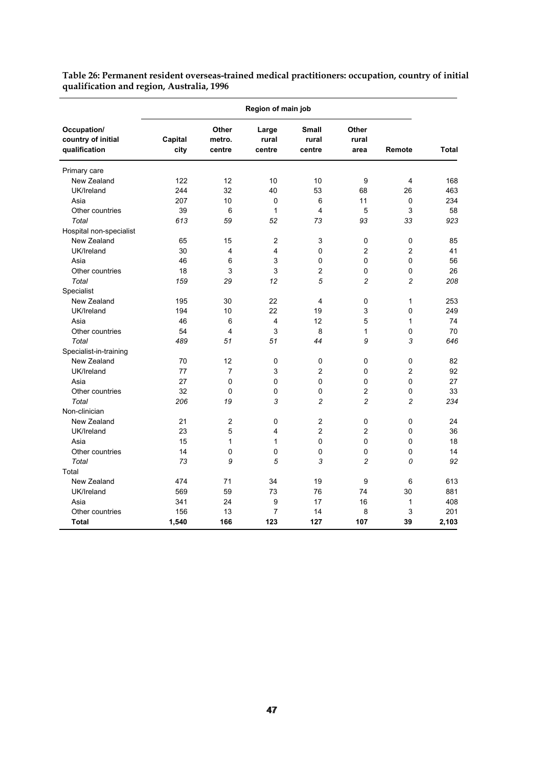|                                                    | Region of main job |                           |                          |                                 |                        |                |       |  |
|----------------------------------------------------|--------------------|---------------------------|--------------------------|---------------------------------|------------------------|----------------|-------|--|
| Occupation/<br>country of initial<br>qualification | Capital<br>city    | Other<br>metro.<br>centre | Large<br>rural<br>centre | <b>Small</b><br>rural<br>centre | Other<br>rural<br>area | Remote         | Total |  |
| Primary care                                       |                    |                           |                          |                                 |                        |                |       |  |
| New Zealand                                        | 122                | 12                        | 10                       | 10                              | 9                      | 4              | 168   |  |
| UK/Ireland                                         | 244                | 32                        | 40                       | 53                              | 68                     | 26             | 463   |  |
| Asia                                               | 207                | 10                        | 0                        | 6                               | 11                     | 0              | 234   |  |
| Other countries                                    | 39                 | 6                         | 1                        | 4                               | 5                      | 3              | 58    |  |
| Total                                              | 613                | 59                        | 52                       | 73                              | 93                     | 33             | 923   |  |
| Hospital non-specialist                            |                    |                           |                          |                                 |                        |                |       |  |
| New Zealand                                        | 65                 | 15                        | $\overline{c}$           | 3                               | 0                      | 0              | 85    |  |
| UK/Ireland                                         | 30                 | 4                         | 4                        | 0                               | $\overline{2}$         | $\overline{2}$ | 41    |  |
| Asia                                               | 46                 | 6                         | 3                        | 0                               | $\mathbf 0$            | 0              | 56    |  |
| Other countries                                    | 18                 | 3                         | 3                        | 2                               | 0                      | 0              | 26    |  |
| Total                                              | 159                | 29                        | 12                       | 5                               | $\overline{c}$         | $\overline{c}$ | 208   |  |
| Specialist                                         |                    |                           |                          |                                 |                        |                |       |  |
| New Zealand                                        | 195                | 30                        | 22                       | 4                               | 0                      | 1              | 253   |  |
| UK/Ireland                                         | 194                | 10                        | 22                       | 19                              | 3                      | 0              | 249   |  |
| Asia                                               | 46                 | 6                         | 4                        | 12                              | 5                      | 1              | 74    |  |
| Other countries                                    | 54                 | $\overline{\mathbf{4}}$   | 3                        | 8                               | $\mathbf{1}$           | 0              | 70    |  |
| Total                                              | 489                | 51                        | 51                       | 44                              | 9                      | 3              | 646   |  |
| Specialist-in-training                             |                    |                           |                          |                                 |                        |                |       |  |
| New Zealand                                        | 70                 | 12                        | 0                        | 0                               | 0                      | 0              | 82    |  |
| UK/Ireland                                         | 77                 | $\overline{7}$            | 3                        | $\overline{2}$                  | 0                      | $\overline{2}$ | 92    |  |
| Asia                                               | 27                 | 0                         | 0                        | 0                               | 0                      | 0              | 27    |  |
| Other countries                                    | 32                 | 0                         | 0                        | 0                               | $\overline{2}$         | 0              | 33    |  |
| Total                                              | 206                | 19                        | 3                        | $\overline{c}$                  | $\overline{c}$         | $\overline{c}$ | 234   |  |
| Non-clinician                                      |                    |                           |                          |                                 |                        |                |       |  |
| New Zealand                                        | 21                 | $\overline{2}$            | 0                        | $\overline{2}$                  | 0                      | 0              | 24    |  |
| UK/Ireland                                         | 23                 | 5                         | 4                        | $\overline{c}$                  | $\overline{2}$         | $\mathbf{0}$   | 36    |  |
| Asia                                               | 15                 | 1                         | 1                        | 0                               | 0                      | 0              | 18    |  |
| Other countries                                    | 14                 | 0                         | 0                        | 0                               | 0                      | 0              | 14    |  |
| Total                                              | 73                 | 9                         | 5                        | 3                               | $\overline{c}$         | 0              | 92    |  |
| Total                                              |                    |                           |                          |                                 |                        |                |       |  |
| New Zealand                                        | 474                | 71                        | 34                       | 19                              | 9                      | 6              | 613   |  |
| UK/Ireland                                         | 569                | 59                        | 73                       | 76                              | 74                     | 30             | 881   |  |
| Asia                                               | 341                | 24                        | 9                        | 17                              | 16                     | 1              | 408   |  |
| Other countries                                    | 156                | 13                        | 7                        | 14                              | 8                      | 3              | 201   |  |
| Total                                              | 1,540              | 166                       | 123                      | 127                             | 107                    | 39             | 2,103 |  |

**Table 26: Permanent resident overseas-trained medical practitioners: occupation, country of initial qualification and region, Australia, 1996**